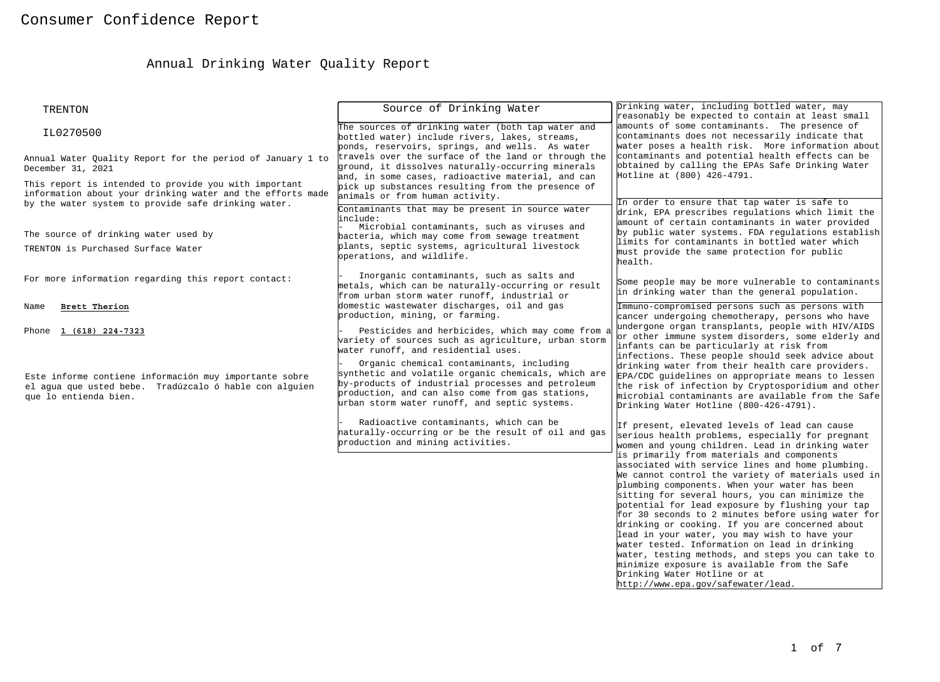# Annual Drinking Water Quality Report

| <b>TRENTON</b>                                                                                                                                                             | Source of Drinking Water                                                                                                                                                                                      | Drinking water, including bottled water, may<br>reasonably be expected to contain at least small                                                                                                                                                                                                             |  |
|----------------------------------------------------------------------------------------------------------------------------------------------------------------------------|---------------------------------------------------------------------------------------------------------------------------------------------------------------------------------------------------------------|--------------------------------------------------------------------------------------------------------------------------------------------------------------------------------------------------------------------------------------------------------------------------------------------------------------|--|
| IL0270500                                                                                                                                                                  | The sources of drinking water (both tap water and<br>bottled water) include rivers, lakes, streams,<br>ponds, reservoirs, springs, and wells. As water                                                        | amounts of some contaminants. The presence of<br>contaminants does not necessarily indicate that<br>water poses a health risk. More information about                                                                                                                                                        |  |
| Annual Water Ouality Report for the period of January 1 to<br>December 31, 2021                                                                                            | travels over the surface of the land or through the<br>ground, it dissolves naturally-occurring minerals<br>and, in some cases, radioactive material, and can                                                 | contaminants and potential health effects can be<br>obtained by calling the EPAs Safe Drinking Water<br>Hotline at (800) 426-4791.                                                                                                                                                                           |  |
| This report is intended to provide you with important<br>information about your drinking water and the efforts made<br>by the water system to provide safe drinking water. | pick up substances resulting from the presence of<br>animals or from human activity.                                                                                                                          | In order to ensure that tap water is safe to                                                                                                                                                                                                                                                                 |  |
| The source of drinking water used by                                                                                                                                       | Contaminants that may be present in source water<br>linclude:<br>Microbial contaminants, such as viruses and<br>bacteria, which may come from sewage treatment                                                | drink, EPA prescribes regulations which limit the<br>amount of certain contaminants in water provided<br>by public water systems. FDA regulations establish                                                                                                                                                  |  |
| TRENTON is Purchased Surface Water                                                                                                                                         | plants, septic systems, agricultural livestock<br>operations, and wildlife.                                                                                                                                   | limits for contaminants in bottled water which<br>must provide the same protection for public<br>health.                                                                                                                                                                                                     |  |
| For more information regarding this report contact:                                                                                                                        | Inorganic contaminants, such as salts and<br>metals, which can be naturally-occurring or result<br>from urban storm water runoff, industrial or                                                               | Some people may be more vulnerable to contaminants<br>in drinking water than the general population.                                                                                                                                                                                                         |  |
| Brett Therion<br>Name                                                                                                                                                      | domestic wastewater discharges, oil and gas<br>production, mining, or farming.                                                                                                                                | Immuno-compromised persons such as persons with<br>cancer undergoing chemotherapy, persons who have                                                                                                                                                                                                          |  |
| Phone 1 (618) 224-7323                                                                                                                                                     | Pesticides and herbicides, which may come from a<br>wariety of sources such as agriculture, urban storm<br>water runoff, and residential uses.<br>Organic chemical contaminants, including                    | undergone organ transplants, people with HIV/AIDS<br>or other immune system disorders, some elderly and<br>infants can be particularly at risk from<br>infections. These people should seek advice about<br>drinking water from their health care providers.                                                 |  |
| Este informe contiene información muy importante sobre<br>el agua que usted bebe. Tradúzcalo ó hable con alguien<br>que lo entienda bien.                                  | synthetic and volatile organic chemicals, which are<br>by-products of industrial processes and petroleum<br>production, and can also come from gas stations,<br>urban storm water runoff, and septic systems. | EPA/CDC guidelines on appropriate means to lessen<br>the risk of infection by Cryptosporidium and other<br>microbial contaminants are available from the Safe<br>Drinking Water Hotline (800-426-4791).                                                                                                      |  |
|                                                                                                                                                                            | Radioactive contaminants, which can be<br>haturally-occurring or be the result of oil and gas<br>production and mining activities.                                                                            | If present, elevated levels of lead can cause<br>serious health problems, especially for pregnant<br>women and young children. Lead in drinking water                                                                                                                                                        |  |
|                                                                                                                                                                            |                                                                                                                                                                                                               | is primarily from materials and components<br>associated with service lines and home plumbing.<br>We cannot control the variety of materials used in<br>plumbing components. When your water has been<br>sitting for several hours, you can minimize the<br>potential for lead exposure by flushing your tap |  |
|                                                                                                                                                                            |                                                                                                                                                                                                               | for 30 seconds to 2 minutes before using water for<br>drinking or cooking. If you are concerned about<br>lead in your water, you may wish to have your<br>water tested. Information on lead in drinking                                                                                                      |  |
|                                                                                                                                                                            |                                                                                                                                                                                                               | water, testing methods, and steps you can take to<br>minimize exposure is available from the Safe<br>Drinking Water Hotline or at<br>http://www.epa.gov/safewater/lead.                                                                                                                                      |  |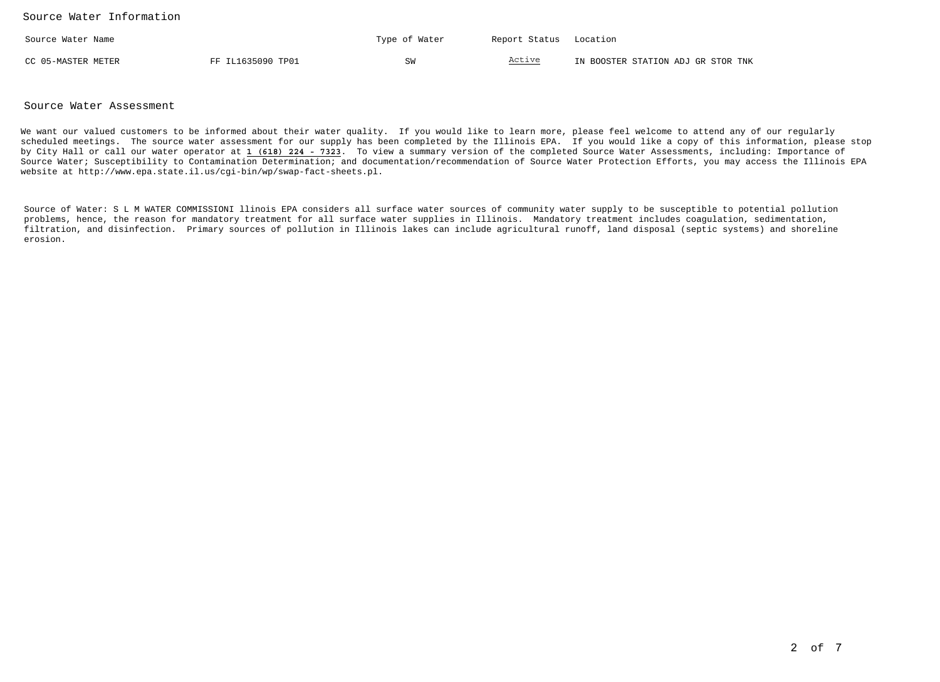Source Water Information

| Source Water Name  |                   | Type of Water | Report Status Location |                                    |
|--------------------|-------------------|---------------|------------------------|------------------------------------|
| CC 05-MASTER METER | FF IL1635090 TP01 |               | Active                 | IN BOOSTER STATION ADJ GR STOR TNK |

Source Water Assessment

We want our valued customers to be informed about their water quality. If you would like to learn more, please feel welcome to attend any of our regularly scheduled meetings. The source water assessment for our supply has been completed by the Illinois EPA. If you would like a copy of this information, please stopby City Hall or call our water operator at **1 (618) 224 - 7323**. To view a summary version of the completed Source Water Assessments, including: Importance of Source Water; Susceptibility to Contamination Determination; and documentation/recommendation of Source Water Protection Efforts, you may access the Illinois EPAwebsite at http://www.epa.state.il.us/cgi-bin/wp/swap-fact-sheets.pl.

Source of Water: S L M WATER COMMISSIONI llinois EPA considers all surface water sources of community water supply to be susceptible to potential pollution problems, hence, the reason for mandatory treatment for all surface water supplies in Illinois. Mandatory treatment includes coagulation, sedimentation, filtration, and disinfection. Primary sources of pollution in Illinois lakes can include agricultural runoff, land disposal (septic systems) and shorelineerosion.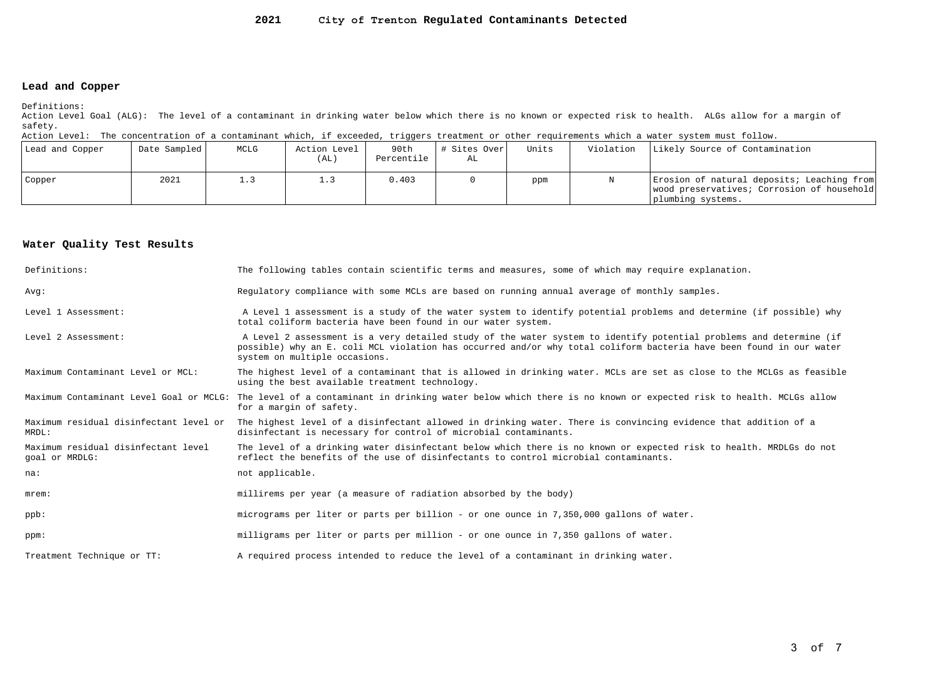#### **2021City of Trenton Regulated Contaminants Detected**

### **Lead and Copper**

Definitions:

 Action Level Goal (ALG): The level of a contaminant in drinking water below which there is no known or expected risk to health. ALGs allow for a margin ofsafety.

Action Level: The concentration of a contaminant which, if exceeded, triggers treatment or other requirements which a water system must follow.

| Lead and Copper | Date Sampled | MCLG | Action Level<br>(AL) | 90th<br>Percentile | # Sites Over<br>AL | Units | Violation | Likely Source of Contamination                                                                                |
|-----------------|--------------|------|----------------------|--------------------|--------------------|-------|-----------|---------------------------------------------------------------------------------------------------------------|
| Copper          | 2021         |      |                      | 403. ر             |                    | ppm   |           | Erosion of natural deposits; Leaching from<br>wood preservatives; Corrosion of household<br>plumbing systems. |

### **Water Quality Test Results**

| Definitions:                                          | The following tables contain scientific terms and measures, some of which may require explanation.                                                                                                                                                                         |
|-------------------------------------------------------|----------------------------------------------------------------------------------------------------------------------------------------------------------------------------------------------------------------------------------------------------------------------------|
| Avq:                                                  | Requlatory compliance with some MCLs are based on running annual average of monthly samples.                                                                                                                                                                               |
| Level 1 Assessment:                                   | A Level 1 assessment is a study of the water system to identify potential problems and determine (if possible) why<br>total coliform bacteria have been found in our water system.                                                                                         |
| Level 2 Assessment:                                   | A Level 2 assessment is a very detailed study of the water system to identify potential problems and determine (if<br>possible) why an E. coli MCL violation has occurred and/or why total coliform bacteria have been found in our water<br>system on multiple occasions. |
| Maximum Contaminant Level or MCL:                     | The highest level of a contaminant that is allowed in drinking water. MCLs are set as close to the MCLGs as feasible<br>using the best available treatment technology.                                                                                                     |
|                                                       | Maximum Contaminant Level Goal or MCLG: The level of a contaminant in drinking water below which there is no known or expected risk to health. MCLGs allow<br>for a margin of safety.                                                                                      |
| Maximum residual disinfectant level or<br>MRDL:       | The highest level of a disinfectant allowed in drinking water. There is convincing evidence that addition of a<br>disinfectant is necessary for control of microbial contaminants.                                                                                         |
| Maximum residual disinfectant level<br>goal or MRDLG: | The level of a drinking water disinfectant below which there is no known or expected risk to health. MRDLGs do not<br>reflect the benefits of the use of disinfectants to control microbial contaminants.                                                                  |
| na:                                                   | not applicable.                                                                                                                                                                                                                                                            |
| $m$ rem:                                              | millirems per year (a measure of radiation absorbed by the body)                                                                                                                                                                                                           |
| $ppb$ :                                               | micrograms per liter or parts per billion - or one ounce in 7,350,000 gallons of water.                                                                                                                                                                                    |
| ppm:                                                  | milligrams per liter or parts per million - or one ounce in 7,350 gallons of water.                                                                                                                                                                                        |
| Treatment Technique or TT:                            | A required process intended to reduce the level of a contaminant in drinking water.                                                                                                                                                                                        |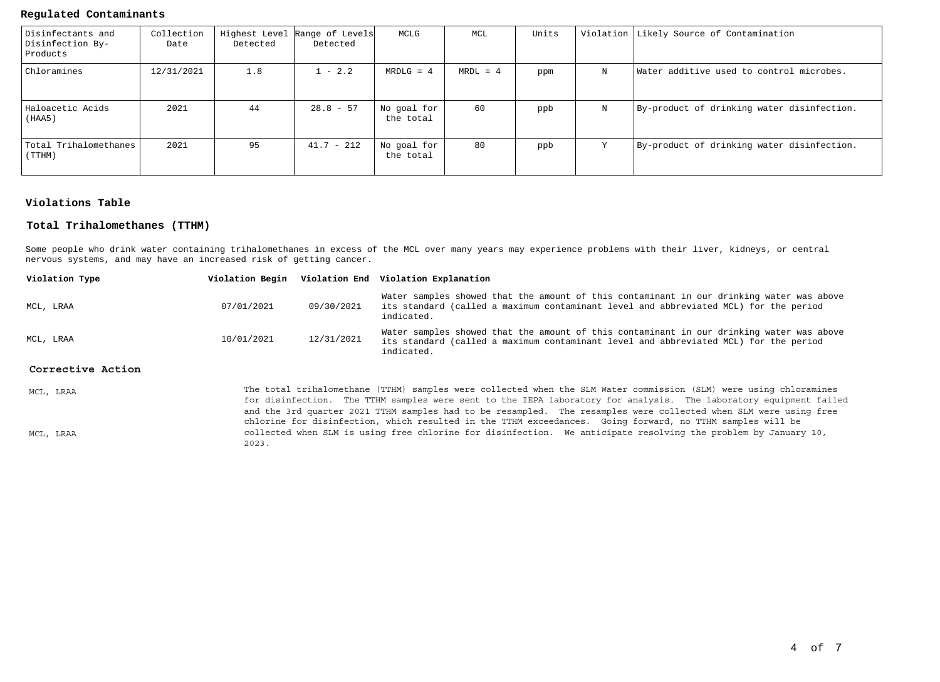### **Regulated Contaminants**

| Disinfectants and<br>Disinfection By-<br>Products | Collection<br>Date | Detected | Highest Level Range of Levels<br>Detected | MCLG                     | MCL        | Units |   | Violation Likely Source of Contamination   |
|---------------------------------------------------|--------------------|----------|-------------------------------------------|--------------------------|------------|-------|---|--------------------------------------------|
| Chloramines                                       | 12/31/2021         | 1.8      | $1 - 2.2$                                 | $MRDLG = 4$              | $MRDL = 4$ | ppm   | N | Water additive used to control microbes.   |
| Haloacetic Acids<br>(HAA5)                        | 2021               | 44       | $28.8 - 57$                               | No goal for<br>the total | 60         | ppb   | N | By-product of drinking water disinfection. |
| Total Trihalomethanes<br>(TTHM)                   | 2021               | 95       | $41.7 - 212$                              | No goal for<br>the total | 80         | ppb   | Υ | By-product of drinking water disinfection. |

### **Violations Table**

### **Total Trihalomethanes (TTHM)**

2023.

Some people who drink water containing trihalomethanes in excess of the MCL over many years may experience problems with their liver, kidneys, or centralnervous systems, and may have an increased risk of getting cancer.

| Violation Type    |            |            | Violation Begin Violation End Violation Explanation                                                                                                                                                                                                                                                                                                                                                                                                                     |
|-------------------|------------|------------|-------------------------------------------------------------------------------------------------------------------------------------------------------------------------------------------------------------------------------------------------------------------------------------------------------------------------------------------------------------------------------------------------------------------------------------------------------------------------|
| MCL, LRAA         | 07/01/2021 | 09/30/2021 | Water samples showed that the amount of this contaminant in our drinking water was above<br>its standard (called a maximum contaminant level and abbreviated MCL) for the period<br>indicated.                                                                                                                                                                                                                                                                          |
| MCL, LRAA         | 10/01/2021 | 12/31/2021 | Water samples showed that the amount of this contaminant in our drinking water was above<br>its standard (called a maximum contaminant level and abbreviated MCL) for the period<br>indicated.                                                                                                                                                                                                                                                                          |
| Corrective Action |            |            |                                                                                                                                                                                                                                                                                                                                                                                                                                                                         |
| MCL, LRAA         |            |            | The total trihalomethane (TTHM) samples were collected when the SLM Water commission (SLM) were using chloramines<br>for disinfection. The TTHM samples were sent to the IEPA laboratory for analysis. The laboratory equipment failed<br>and the 3rd quarter 2021 TTHM samples had to be resampled. The resamples were collected when SLM were using free<br>chlorine for disinfection, which resulted in the TTHM exceedances. Going forward, no TTHM samples will be |

collected when SLM is using free chlorine for disinfection. We anticipate resolving the problem by January 10,

MCL, LRAA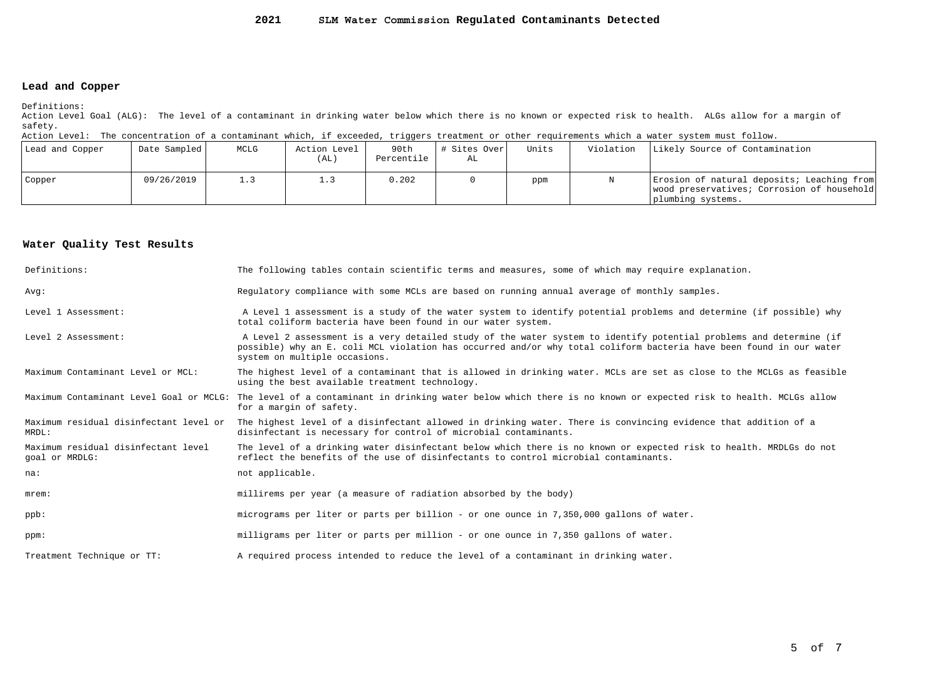#### **2021SLM Water Commission Regulated Contaminants Detected**

### **Lead and Copper**

Definitions:

 Action Level Goal (ALG): The level of a contaminant in drinking water below which there is no known or expected risk to health. ALGs allow for a margin ofsafety.

Action Level: The concentration of a contaminant which, if exceeded, triggers treatment or other requirements which a water system must follow.

| Lead and Copper | Date Sampled | MCLG | Action Level<br>(AL) | 90th<br>Percentile | # Sites Over<br>AL | Units | Violation | Likely Source of Contamination                                                                                |
|-----------------|--------------|------|----------------------|--------------------|--------------------|-------|-----------|---------------------------------------------------------------------------------------------------------------|
| Copper          | 09/26/2019   |      |                      | 202. ل             |                    | ppm   |           | Erosion of natural deposits; Leaching from<br>wood preservatives; Corrosion of household<br>plumbing systems. |

### **Water Quality Test Results**

| Definitions:                                          | The following tables contain scientific terms and measures, some of which may require explanation.                                                                                                                                                                         |
|-------------------------------------------------------|----------------------------------------------------------------------------------------------------------------------------------------------------------------------------------------------------------------------------------------------------------------------------|
| Avq:                                                  | Requlatory compliance with some MCLs are based on running annual average of monthly samples.                                                                                                                                                                               |
| Level 1 Assessment:                                   | A Level 1 assessment is a study of the water system to identify potential problems and determine (if possible) why<br>total coliform bacteria have been found in our water system.                                                                                         |
| Level 2 Assessment:                                   | A Level 2 assessment is a very detailed study of the water system to identify potential problems and determine (if<br>possible) why an E. coli MCL violation has occurred and/or why total coliform bacteria have been found in our water<br>system on multiple occasions. |
| Maximum Contaminant Level or MCL:                     | The highest level of a contaminant that is allowed in drinking water. MCLs are set as close to the MCLGs as feasible<br>using the best available treatment technology.                                                                                                     |
|                                                       | Maximum Contaminant Level Goal or MCLG: The level of a contaminant in drinking water below which there is no known or expected risk to health. MCLGs allow<br>for a margin of safety.                                                                                      |
| Maximum residual disinfectant level or<br>MRDL:       | The highest level of a disinfectant allowed in drinking water. There is convincing evidence that addition of a<br>disinfectant is necessary for control of microbial contaminants.                                                                                         |
| Maximum residual disinfectant level<br>goal or MRDLG: | The level of a drinking water disinfectant below which there is no known or expected risk to health. MRDLGs do not<br>reflect the benefits of the use of disinfectants to control microbial contaminants.                                                                  |
| na:                                                   | not applicable.                                                                                                                                                                                                                                                            |
| $m$ rem:                                              | millirems per year (a measure of radiation absorbed by the body)                                                                                                                                                                                                           |
| $ppb$ :                                               | micrograms per liter or parts per billion - or one ounce in 7,350,000 gallons of water.                                                                                                                                                                                    |
| ppm:                                                  | milligrams per liter or parts per million - or one ounce in 7,350 gallons of water.                                                                                                                                                                                        |
| Treatment Technique or TT:                            | A required process intended to reduce the level of a contaminant in drinking water.                                                                                                                                                                                        |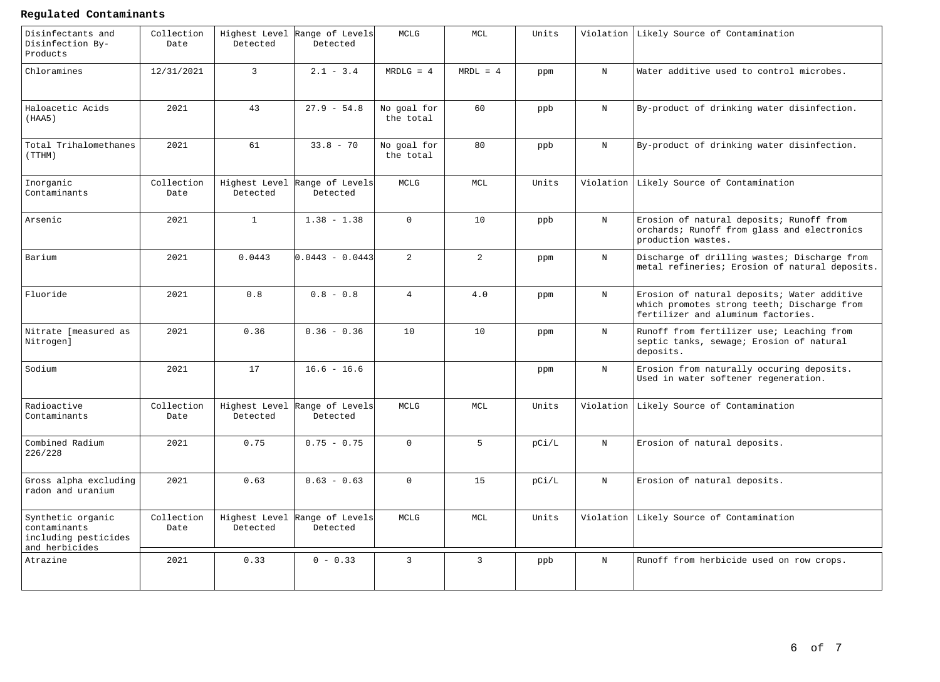# **Regulated Contaminants**

| Disinfectants and<br>Disinfection By-<br>Products                           | Collection<br>Date | Detected                  | Highest Level Range of Levels<br>Detected | MCLG                     | MCL            | Units |             | Violation Likely Source of Contamination                                                                                         |
|-----------------------------------------------------------------------------|--------------------|---------------------------|-------------------------------------------|--------------------------|----------------|-------|-------------|----------------------------------------------------------------------------------------------------------------------------------|
| Chloramines                                                                 | 12/31/2021         | $\overline{3}$            | $2.1 - 3.4$                               | $MRDLG = 4$              | $MRDL = 4$     | ppm   | $_{\rm N}$  | Water additive used to control microbes.                                                                                         |
| Haloacetic Acids<br>(HAA5)                                                  | 2021               | 43                        | $27.9 - 54.8$                             | No goal for<br>the total | 60             | ppb   | $\mathbf N$ | By-product of drinking water disinfection.                                                                                       |
| Total Trihalomethanes<br>(TTHM)                                             | 2021               | 61                        | $33.8 - 70$                               | No goal for<br>the total | 80             | ppb   | $_{\rm N}$  | By-product of drinking water disinfection.                                                                                       |
| Inorganic<br>Contaminants                                                   | Collection<br>Date | Detected                  | Highest Level Range of Levels<br>Detected | MCLG                     | MCL            | Units |             | Violation Likely Source of Contamination                                                                                         |
| Arsenic                                                                     | 2021               | $\mathbf{1}$              | $1.38 - 1.38$                             | $\Omega$                 | 10             | ppb   | $_{\rm N}$  | Erosion of natural deposits; Runoff from<br>orchards; Runoff from glass and electronics<br>production wastes.                    |
| Barium                                                                      | 2021               | 0.0443                    | lo.o443 - o.o443l                         | $\overline{2}$           | $\overline{2}$ | ppm   | N           | Discharge of drilling wastes; Discharge from<br>metal refineries; Erosion of natural deposits.                                   |
| Fluoride                                                                    | 2021               | 0.8                       | $0.8 - 0.8$                               | $\overline{4}$           | 4.0            | ppm   | N           | Erosion of natural deposits; Water additive<br>which promotes strong teeth; Discharge from<br>fertilizer and aluminum factories. |
| Nitrate [measured as<br>Nitrogen]                                           | 2021               | 0.36                      | $0.36 - 0.36$                             | 10                       | 10             | ppm   | $_{\rm N}$  | Runoff from fertilizer use; Leaching from<br>septic tanks, sewage; Erosion of natural<br>deposits.                               |
| Sodium                                                                      | 2021               | 17                        | $16.6 - 16.6$                             |                          |                | ppm   | $_{\rm N}$  | Erosion from naturally occuring deposits.<br>Used in water softener regeneration.                                                |
| Radioactive<br>Contaminants                                                 | Collection<br>Date | Highest Level<br>Detected | Range of Levels<br>Detected               | MCLG                     | MCL            | Units |             | Violation Likely Source of Contamination                                                                                         |
| Combined Radium<br>226/228                                                  | 2021               | 0.75                      | $0.75 - 0.75$                             | $\Omega$                 | $5^{\circ}$    | pCi/L | $\mathbf N$ | Erosion of natural deposits.                                                                                                     |
| Gross alpha excluding<br>radon and uranium                                  | 2021               | 0.63                      | $0.63 - 0.63$                             | $\Omega$                 | 15             | pC1/L | $_{\rm N}$  | Erosion of natural deposits.                                                                                                     |
| Synthetic organic<br>contaminants<br>including pesticides<br>and herbicides | Collection<br>Date | Highest Level<br>Detected | Range of Levels<br>Detected               | MCLG                     | MCL            | Units |             | Violation Likely Source of Contamination                                                                                         |
| Atrazine                                                                    | 2021               | 0.33                      | $0 - 0.33$                                | $\overline{3}$           | $\mathbf{3}$   | ppb   | $\mathbf N$ | Runoff from herbicide used on row crops.                                                                                         |